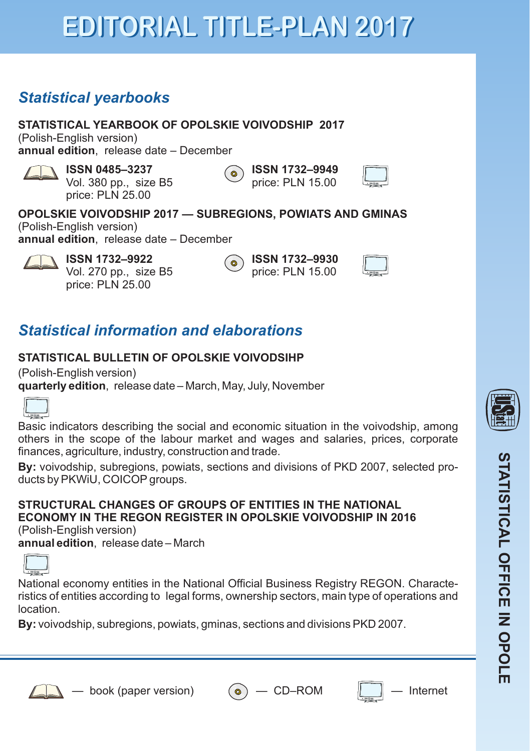# **EDITORIAL TITLE-PLAN 2017**

## *Statistical yearbooks*

**STATISTICAL YEARBOOK OF OPOLSKIE VOIVODSHIP 2017** (Polish-English version) **annual edition**, release date – December

**ISSN 0485–3237** Vol. 380 pp., size B5 price: PLN 25.00

**ISSN 1732–9949** ( ⊚ price: PLN 15.00

### **OPOLSKIE VOIVODSHIP 2017 — SUBREGIONS, POWIATS AND GMINAS**

ົ໐

(Polish-English version) **annual edition**, release date – December

> **ISSN 1732–9922** Vol. 270 pp., size B5 price: PLN 25.00

**ISSN 1732–9930** price: PLN 15.00

## *Statistical information and elaborations*

### STATISTICAL BULLETIN OF OPOLSKIE VOIVODSIHP

(Polish-English version) **quarterly edition**, release date – March, May, July, November



Basic indicators describing the social and economic situation in the voivodship, among others in the scope of the labour market and wages and salaries, prices, corporate finances, agriculture, industry, construction and trade.

**By:** voivodship, subregions, powiats, sections and divisions of PKD 2007, selected products by PKWiU, COICOP groups.

#### **STRUCTURAL CHANGES OF GROUPS OF ENTITIES IN THE NATIONAL ECONOMY IN THE REGON REGISTER IN OPOLSKIE VOIVODSHIP IN 2016** (Polish-English version)

**annual edition**, release date – March



National economy entities in the National Official Business Registry REGON. Characteristics of entities according to legal forms, ownership sectors, main type of operations and location.

**By:** voivodship, subregions, powiats, gminas, sections and divisions PKD 2007.







**S**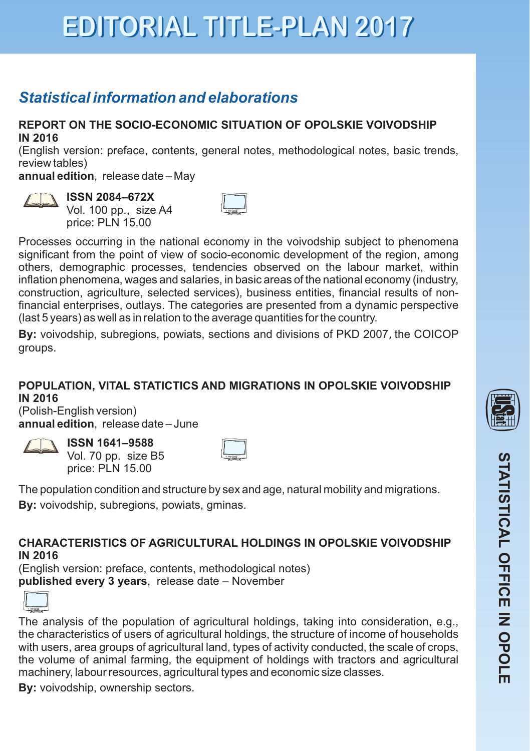## **EDITORIAL TITLE-PLAN 2017**

## *Statistical information and elaborations*

#### **REPORT ON THE SOCIO-ECONOMIC SITUATION OF OPOLSKIE VOIVODSHIP IN 2016**

(English version: preface, contents, general notes, methodological notes, basic trends, review tables)

**annual edition**, release date – May



**ISSN 2084–672X**  Vol. 100 pp., size A4 price: PLN 15.00

Processes occurring in the national economy in the voivodship subject to phenomena significant from the point of view of socio-economic development of the region, among others, demographic processes, tendencies observed on the labour market, within inflation phenomena, wages and salaries, in basic areas of the national economy (industry, construction, agriculture, selected services), business entities, financial results of nonfinancial enterprises, outlays. The categories are presented from a dynamic perspective (last 5 years) as well as in relation to the average quantities for the country.

**By:** voivodship, subregions, powiats, sections and divisions of PKD 2007, the COICOP groups.

#### **POPULATION, VITAL STATICTICS AND MIGRATIONS IN OPOLSKIE VOIVODSHIP IN 2016**

(Polish-English version) **annual edition**, release date – June



**ISSN 1641–9588** Vol. 70 pp. size B5 price: PLN 15.00



The population condition and structure by sex and age, natural mobility and migrations. **By:** voivodship, subregions, powiats, gminas.

**CHARACTERISTICS OF AGRICULTURAL HOLDINGS IN OPOLSKIE VOIVODSHIP IN 2016**

(English version: preface, contents, methodological notes) published every 3 years, release date - November



The analysis of the population of agricultural holdings , taking into consideration, e.g., the characteristics of users of agricultural holdings, the structure of income of households with users, area groups of agricultural land, types of activity conducted, the scale of crops, the volume of animal farming, the equipment of holdings with tractors and agricultural machinery, labour resources, agricultural types and economic size classes.

**By:** voivodship, ownership sectors.



**S**